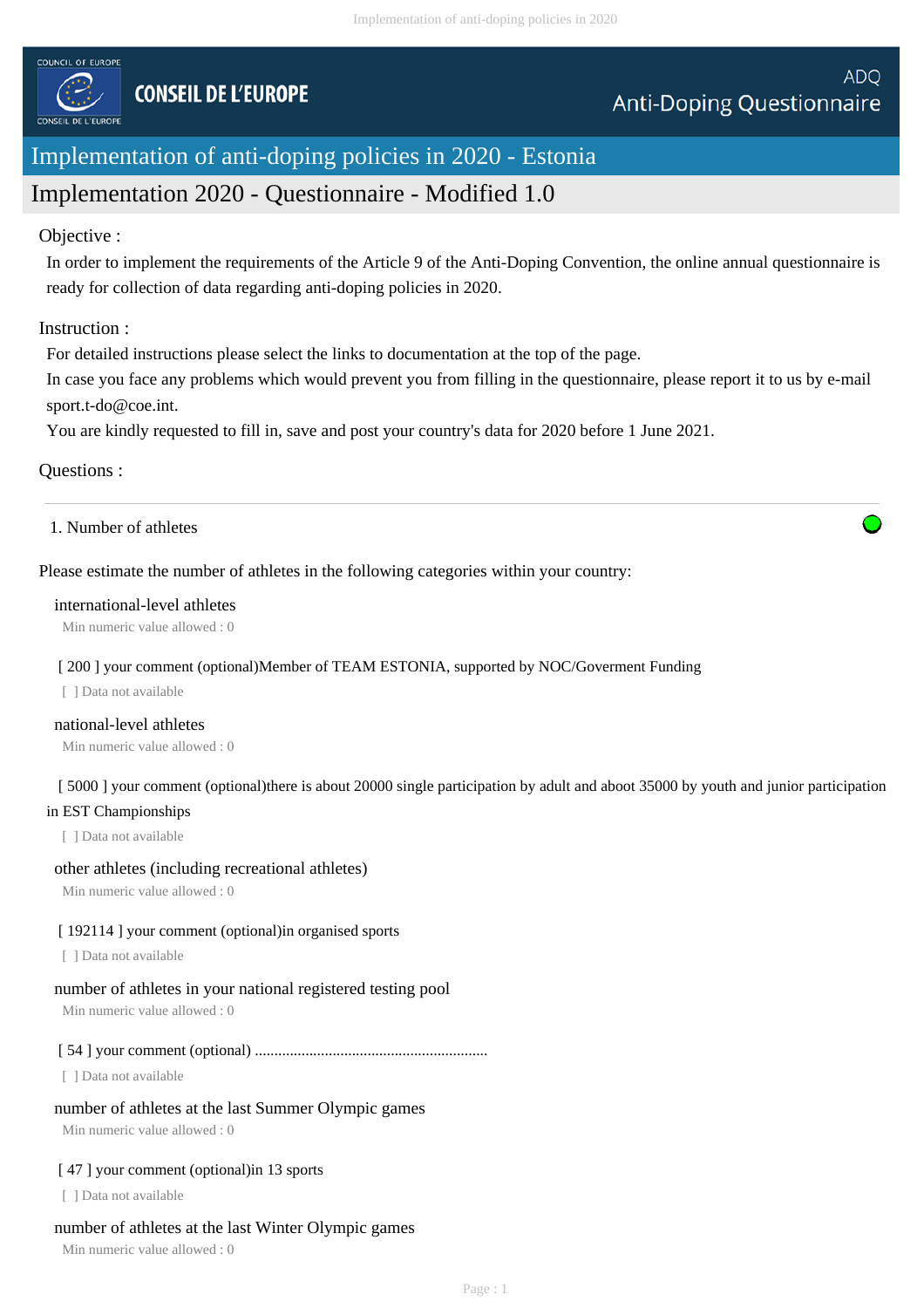

# Implementation of anti-doping policies in 2020 - Estonia

# Implementation 2020 - Questionnaire - Modified 1.0

### Objective :

In order to implement the requirements of the Article 9 of the Anti-Doping Convention, the online annual questionnaire is ready for collection of data regarding anti-doping policies in 2020.

### Instruction :

For detailed instructions please select the links to documentation at the top of the page.

In case you face any problems which would prevent you from filling in the questionnaire, please report it to us by e-mail sport.t-do@coe.int.

You are kindly requested to fill in, save and post your country's data for 2020 before 1 June 2021.

### Questions :

1. Number of athletes

### Please estimate the number of athletes in the following categories within your country:

#### international-level athletes

Min numeric value allowed : 0

#### [ 200 ] your comment (optional)Member of TEAM ESTONIA, supported by NOC/Goverment Funding

[ ] Data not available

### national-level athletes

Min numeric value allowed : 0

### [ 5000 ] your comment (optional)there is about 20000 single participation by adult and aboot 35000 by youth and junior participation in EST Championships

[ ] Data not available

#### other athletes (including recreational athletes)

Min numeric value allowed : 0

#### [192114] your comment (optional) in organised sports

[ ] Data not available

#### number of athletes in your national registered testing pool

Min numeric value allowed : 0

### [ 54 ] your comment (optional) ............................................................

[ ] Data not available

#### number of athletes at the last Summer Olympic games

Min numeric value allowed : 0

#### [47] your comment (optional) in 13 sports

[ ] Data not available

#### number of athletes at the last Winter Olympic games

Min numeric value allowed : 0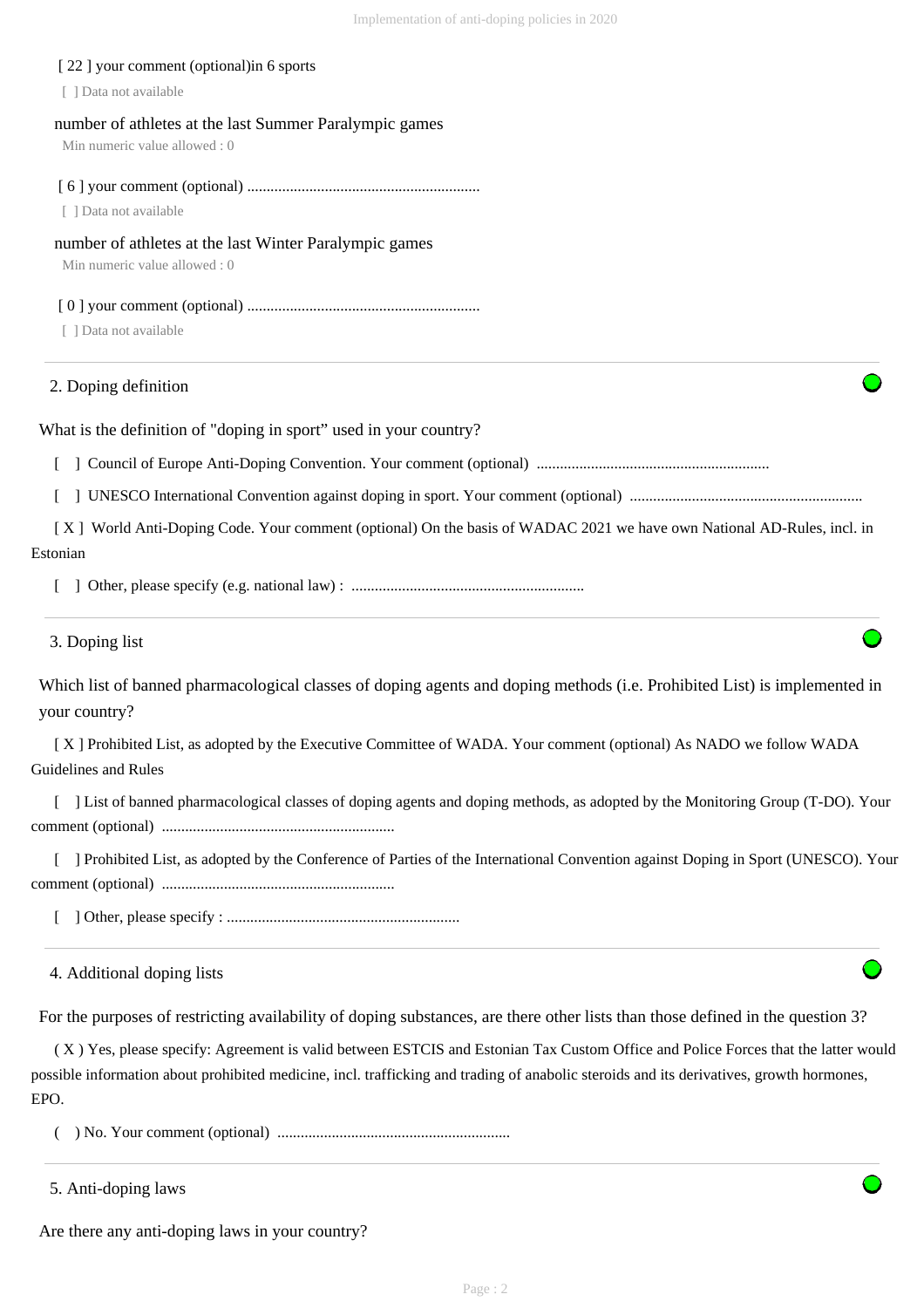| [22] your comment (optional) in 6 sports                                                                                                   |
|--------------------------------------------------------------------------------------------------------------------------------------------|
| [ ] Data not available                                                                                                                     |
| number of athletes at the last Summer Paralympic games<br>Min numeric value allowed: 0                                                     |
| [ ] Data not available                                                                                                                     |
| number of athletes at the last Winter Paralympic games<br>Min numeric value allowed: 0                                                     |
| [ ] Data not available                                                                                                                     |
| 2. Doping definition                                                                                                                       |
| What is the definition of "doping in sport" used in your country?                                                                          |
|                                                                                                                                            |
|                                                                                                                                            |
| [X] World Anti-Doping Code. Your comment (optional) On the basis of WADAC 2021 we have own National AD-Rules, incl. in                     |
| Estonian                                                                                                                                   |
|                                                                                                                                            |
| 3. Doping list                                                                                                                             |
| Which list of banned pharmacological classes of doping agents and doping methods (i.e. Prohibited List) is implemented in<br>your country? |
| [X] Prohibited List, as adopted by the Executive Committee of WADA. Your comment (optional) As NADO we follow WADA<br>Guidelines and Rules |
| ] List of banned pharmacological classes of doping agents and doping methods, as adopted by the Monitoring Group (T-DO). Your              |
| ] Prohibited List, as adopted by the Conference of Parties of the International Convention against Doping in Sport (UNESCO). Your          |
|                                                                                                                                            |
| 4. Additional doping lists                                                                                                                 |
| For the purposes of restricting availability of doping substances, are there other lists than those defined in the question 3?             |
| (X) Yes, please specify: Agreement is valid between ESTCIS and Estonian Tax Custom Office and Police Forces that the latter would          |

possible information about prohibited medicine, incl. trafficking and trading of anabolic steroids and its derivatives, growth hormones, EPO.

( ) No. Your comment (optional) ............................................................

5. Anti-doping laws

Are there any anti-doping laws in your country?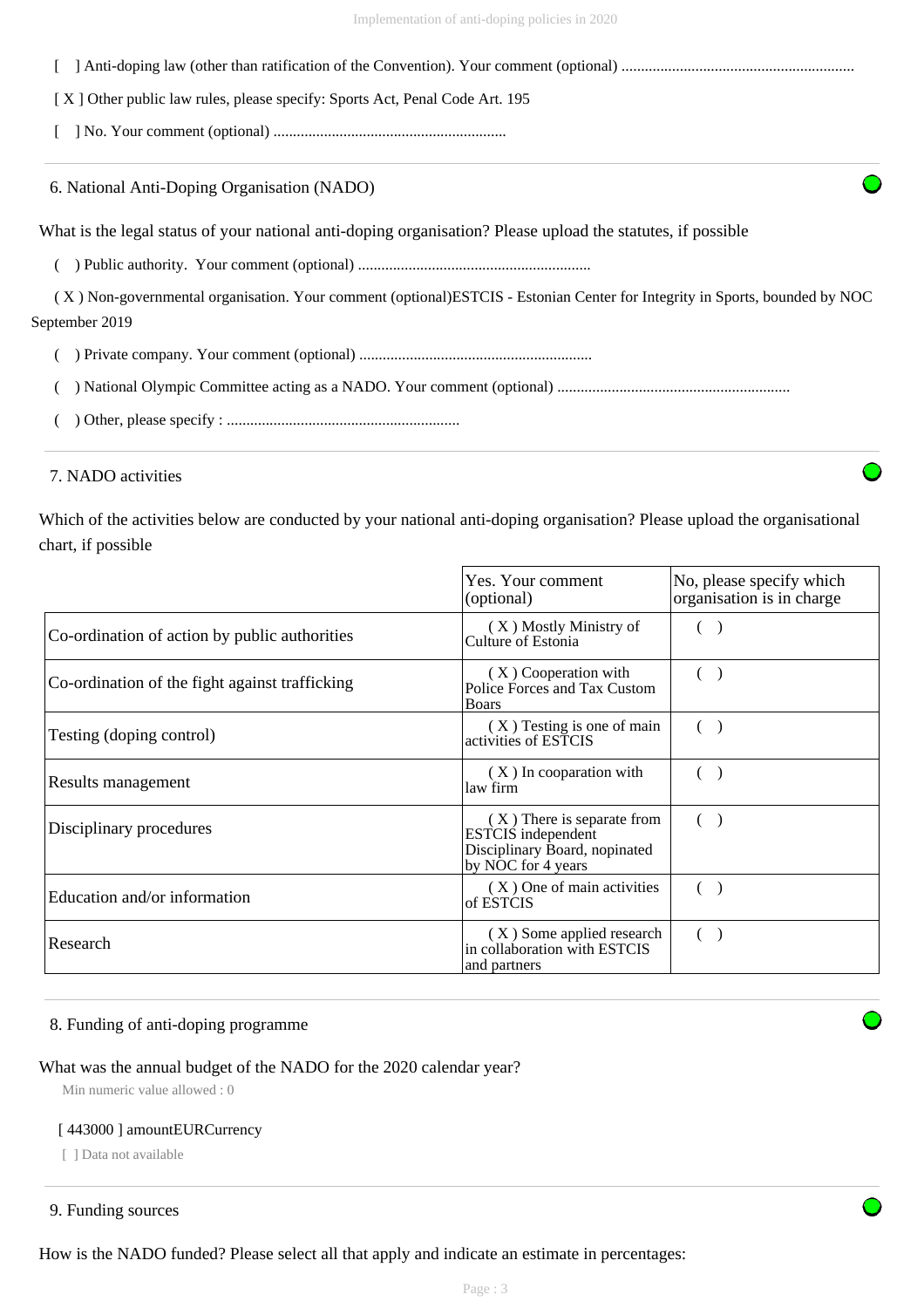| [X] Other public law rules, please specify: Sports Act, Penal Code Art. 195                                                 |
|-----------------------------------------------------------------------------------------------------------------------------|
|                                                                                                                             |
| 6. National Anti-Doping Organisation (NADO)                                                                                 |
| What is the legal status of your national anti-doping organisation? Please upload the statures, if possible                 |
|                                                                                                                             |
| (X) Non-governmental organisation. Your comment (optional) ESTCIS - Estonian Center for Integrity in Sports, bounded by NOC |
| September 2019                                                                                                              |
|                                                                                                                             |
|                                                                                                                             |
|                                                                                                                             |

#### 7. NADO activities

Which of the activities below are conducted by your national anti-doping organisation? Please upload the organisational chart, if possible

|                                                | Yes. Your comment<br>(optional)                                                                                | No, please specify which<br>organisation is in charge |
|------------------------------------------------|----------------------------------------------------------------------------------------------------------------|-------------------------------------------------------|
| Co-ordination of action by public authorities  | (X) Mostly Ministry of<br>Culture of Estonia                                                                   |                                                       |
| Co-ordination of the fight against trafficking | (X) Cooperation with<br>Police Forces and Tax Custom<br><b>Boars</b>                                           |                                                       |
| Testing (doping control)                       | (X) Testing is one of main<br>activities of ESTCIS                                                             |                                                       |
| Results management                             | $(X)$ In cooparation with<br>law firm                                                                          |                                                       |
| Disciplinary procedures                        | (X) There is separate from<br><b>ESTCIS</b> independent<br>Disciplinary Board, nopinated<br>by NOC for 4 years |                                                       |
| Education and/or information                   | (X) One of main activities<br>of ESTCIS                                                                        |                                                       |
| Research                                       | (X) Some applied research<br>in collaboration with ESTCIS<br>and partners                                      |                                                       |

### 8. Funding of anti-doping programme

### What was the annual budget of the NADO for the 2020 calendar year?

Min numeric value allowed : 0

#### [ 443000 ] amountEURCurrency

[ ] Data not available

```
9. Funding sources
```
How is the NADO funded? Please select all that apply and indicate an estimate in percentages: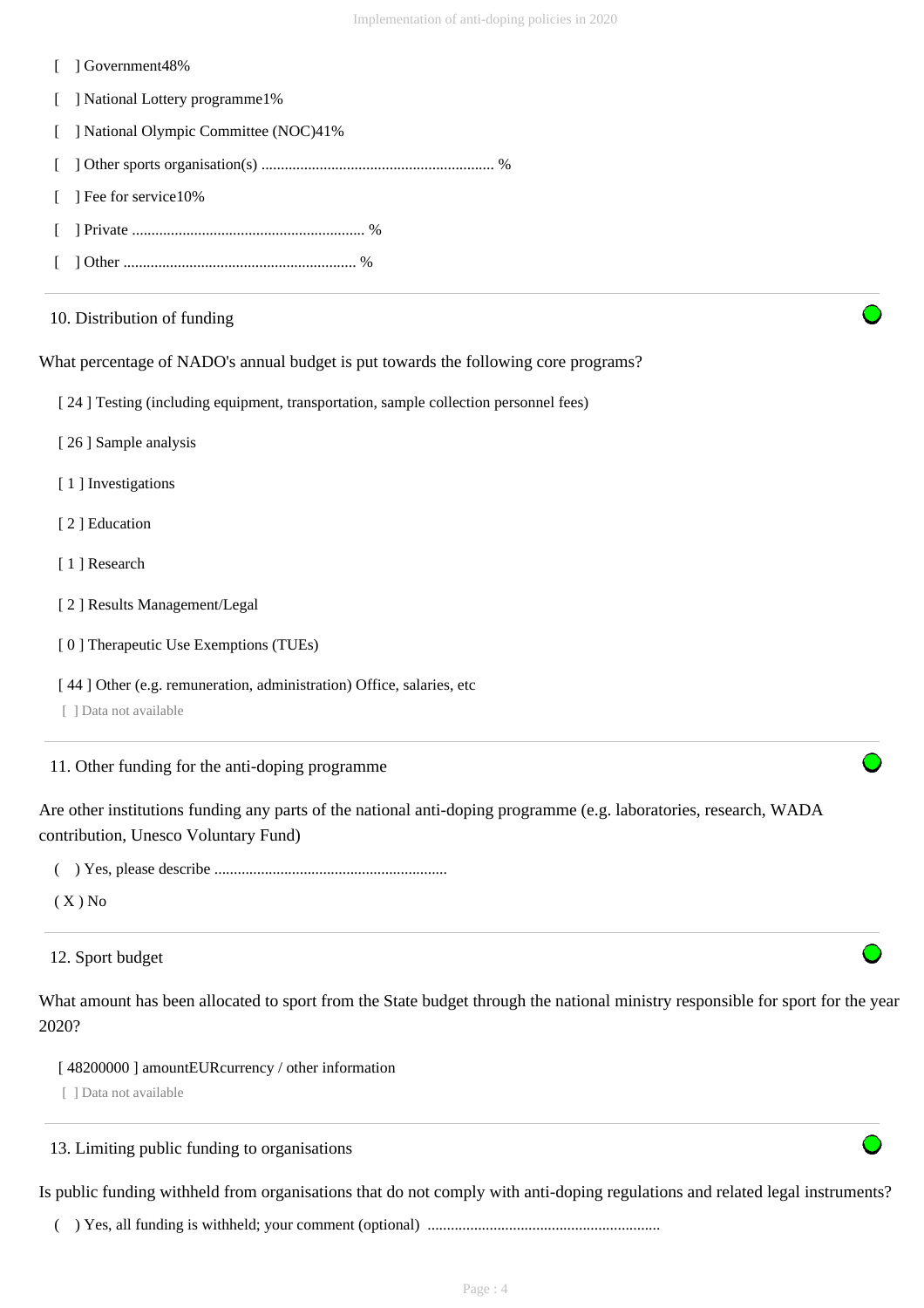- [ ] Government48%
- [ ] National Lottery programme1%
- [ ] National Olympic Committee (NOC)41%
- [ ] Other sports organisation(s) ............................................................ %
- [ ] Fee for service10%
- [ ] Private ............................................................ %
- [ ] Other ............................................................ %

### 10. Distribution of funding

What percentage of NADO's annual budget is put towards the following core programs?

- [ 24 ] Testing (including equipment, transportation, sample collection personnel fees)
- [ 26 ] Sample analysis
- [1] Investigations
- [ 2 ] Education
- [1] Research
- [ 2 ] Results Management/Legal
- [ 0 ] Therapeutic Use Exemptions (TUEs)
- [ 44 ] Other (e.g. remuneration, administration) Office, salaries, etc
- [ ] Data not available

11. Other funding for the anti-doping programme

Are other institutions funding any parts of the national anti-doping programme (e.g. laboratories, research, WADA contribution, Unesco Voluntary Fund)

( ) Yes, please describe ............................................................

 $(X)$  No

### 12. Sport budget

What amount has been allocated to sport from the State budget through the national ministry responsible for sport for the year 2020?

[ 48200000 ] amountEURcurrency / other information

[ ] Data not available

### 13. Limiting public funding to organisations

Is public funding withheld from organisations that do not comply with anti-doping regulations and related legal instruments?

( ) Yes, all funding is withheld; your comment (optional) ............................................................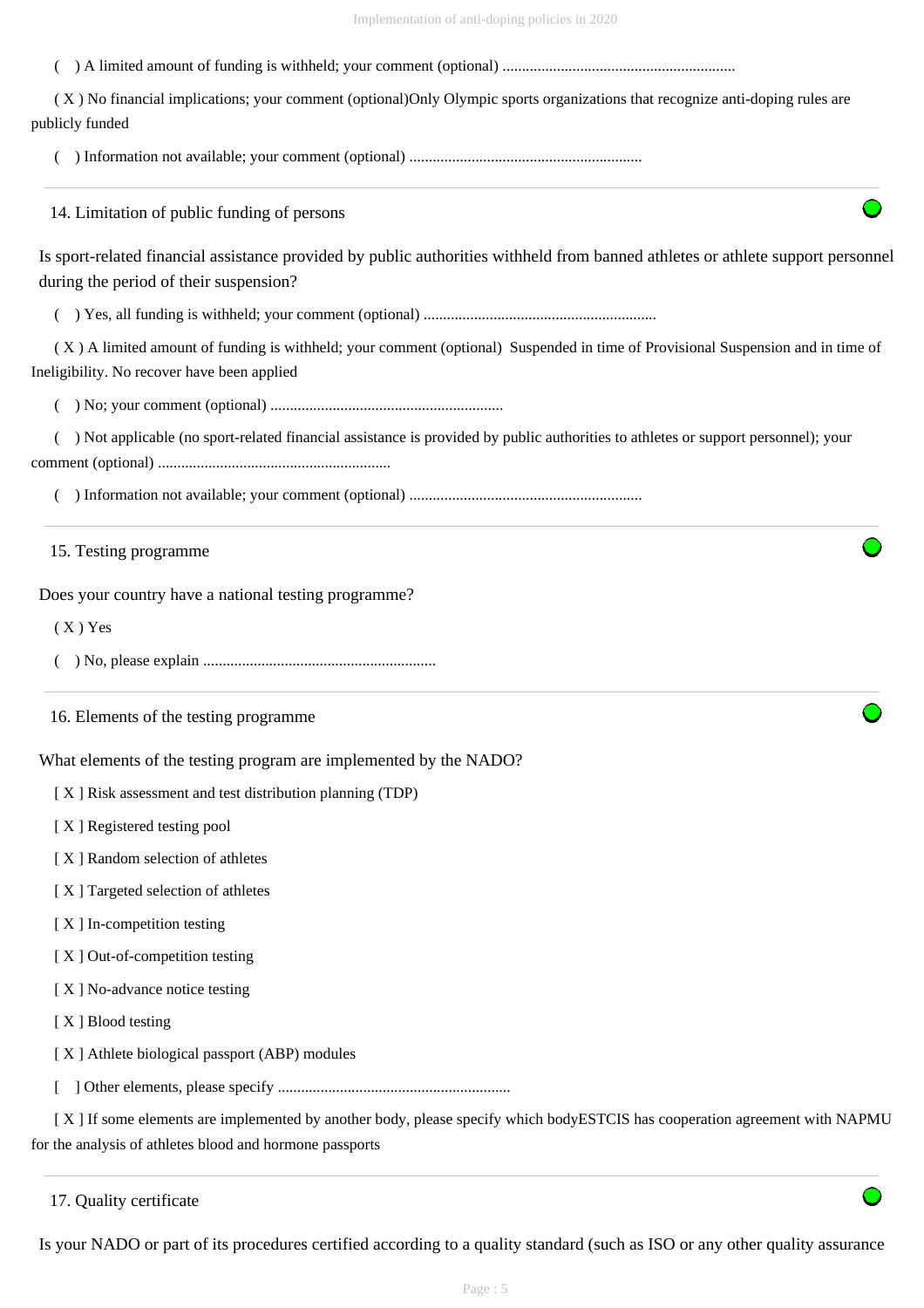( ) A limited amount of funding is withheld; your comment (optional) ............................................................

 ( X ) No financial implications; your comment (optional)Only Olympic sports organizations that recognize anti-doping rules are publicly funded

( ) Information not available; your comment (optional) ............................................................

14. Limitation of public funding of persons

Is sport-related financial assistance provided by public authorities withheld from banned athletes or athlete support personnel during the period of their suspension?

( ) Yes, all funding is withheld; your comment (optional) ............................................................

 ( X ) A limited amount of funding is withheld; your comment (optional) Suspended in time of Provisional Suspension and in time of Ineligibility. No recover have been applied

( ) No; your comment (optional) ............................................................

 ( ) Not applicable (no sport-related financial assistance is provided by public authorities to athletes or support personnel); your comment (optional) ............................................................

( ) Information not available; your comment (optional) ............................................................

15. Testing programme

Does your country have a national testing programme?

 $(X)$  Yes

( ) No, please explain ............................................................

16. Elements of the testing programme

What elements of the testing program are implemented by the NADO?

[ X ] Risk assessment and test distribution planning (TDP)

[ X ] Registered testing pool

- [ X ] Random selection of athletes
- [ X ] Targeted selection of athletes
- [X] In-competition testing
- [ X ] Out-of-competition testing
- [X] No-advance notice testing
- [ X ] Blood testing
- [ X ] Athlete biological passport (ABP) modules
- [ ] Other elements, please specify ............................................................

 [ X ] If some elements are implemented by another body, please specify which bodyESTCIS has cooperation agreement with NAPMU for the analysis of athletes blood and hormone passports

Is your NADO or part of its procedures certified according to a quality standard (such as ISO or any other quality assurance

<sup>17.</sup> Quality certificate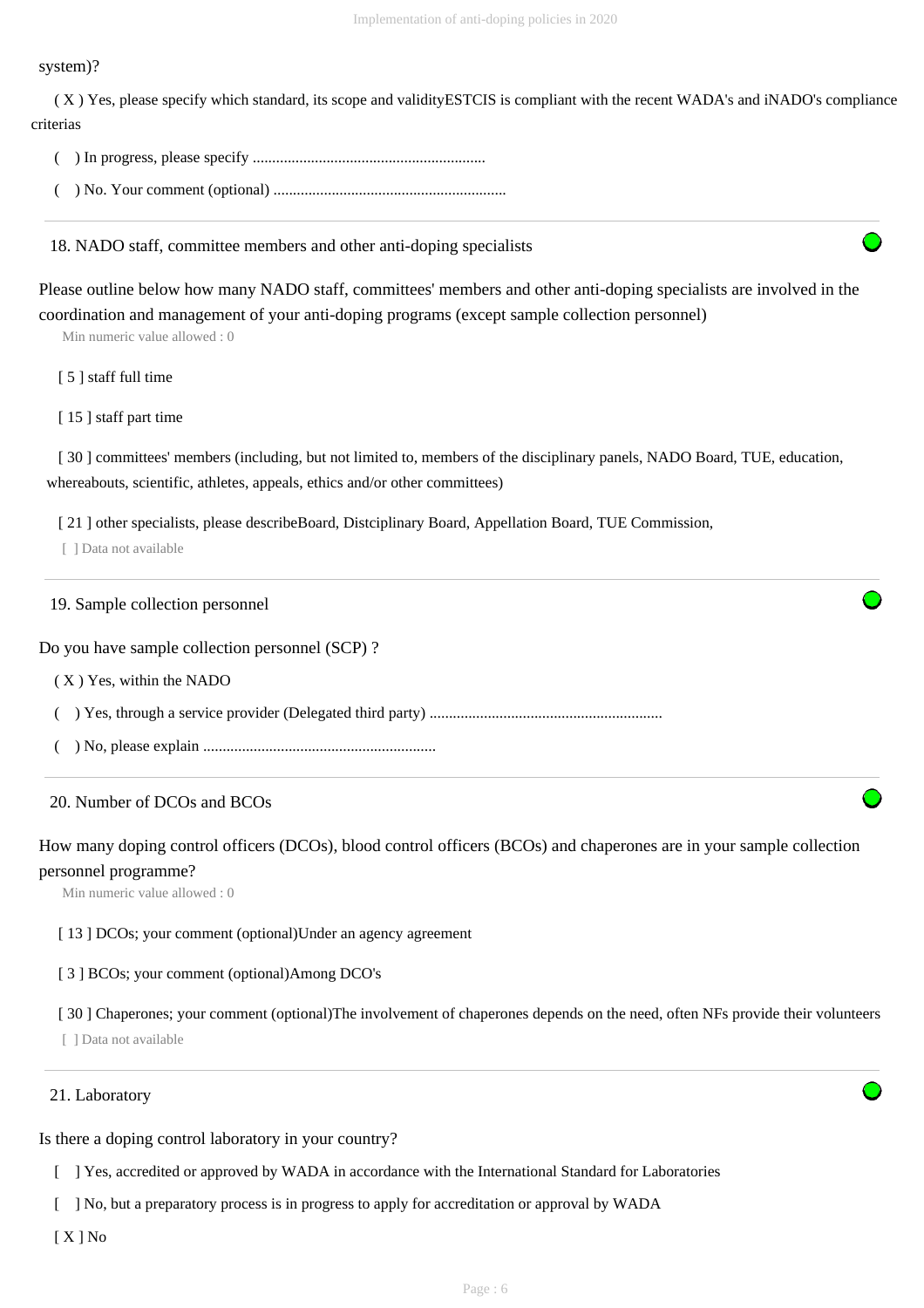#### system)?

 ( X ) Yes, please specify which standard, its scope and validityESTCIS is compliant with the recent WADA's and iNADO's compliance criterias

- ( ) In progress, please specify ............................................................
- ( ) No. Your comment (optional) ............................................................

18. NADO staff, committee members and other anti-doping specialists

Please outline below how many NADO staff, committees' members and other anti-doping specialists are involved in the coordination and management of your anti-doping programs (except sample collection personnel)

Min numeric value allowed : 0

- [ 5 ] staff full time
- [ 15 ] staff part time

[ 30 ] committees' members (including, but not limited to, members of the disciplinary panels, NADO Board, TUE, education, whereabouts, scientific, athletes, appeals, ethics and/or other committees)

[ 21 ] other specialists, please describeBoard, Distciplinary Board, Appellation Board, TUE Commission,

[ ] Data not available

#### 19. Sample collection personnel

Do you have sample collection personnel (SCP) ?

- ( X ) Yes, within the NADO
- ( ) Yes, through a service provider (Delegated third party) ............................................................
- ( ) No, please explain ............................................................

#### 20. Number of DCOs and BCOs

How many doping control officers (DCOs), blood control officers (BCOs) and chaperones are in your sample collection personnel programme?

Min numeric value allowed : 0

[13] DCOs; your comment (optional)Under an agency agreement

[ 3 ] BCOs; your comment (optional)Among DCO's

[ 30 ] Chaperones; your comment (optional)The involvement of chaperones depends on the need, often NFs provide their volunteers

[ ] Data not available

#### 21. Laboratory

Is there a doping control laboratory in your country?

- [ ] Yes, accredited or approved by WADA in accordance with the International Standard for Laboratories
- [ ] No, but a preparatory process is in progress to apply for accreditation or approval by WADA

[ X ] No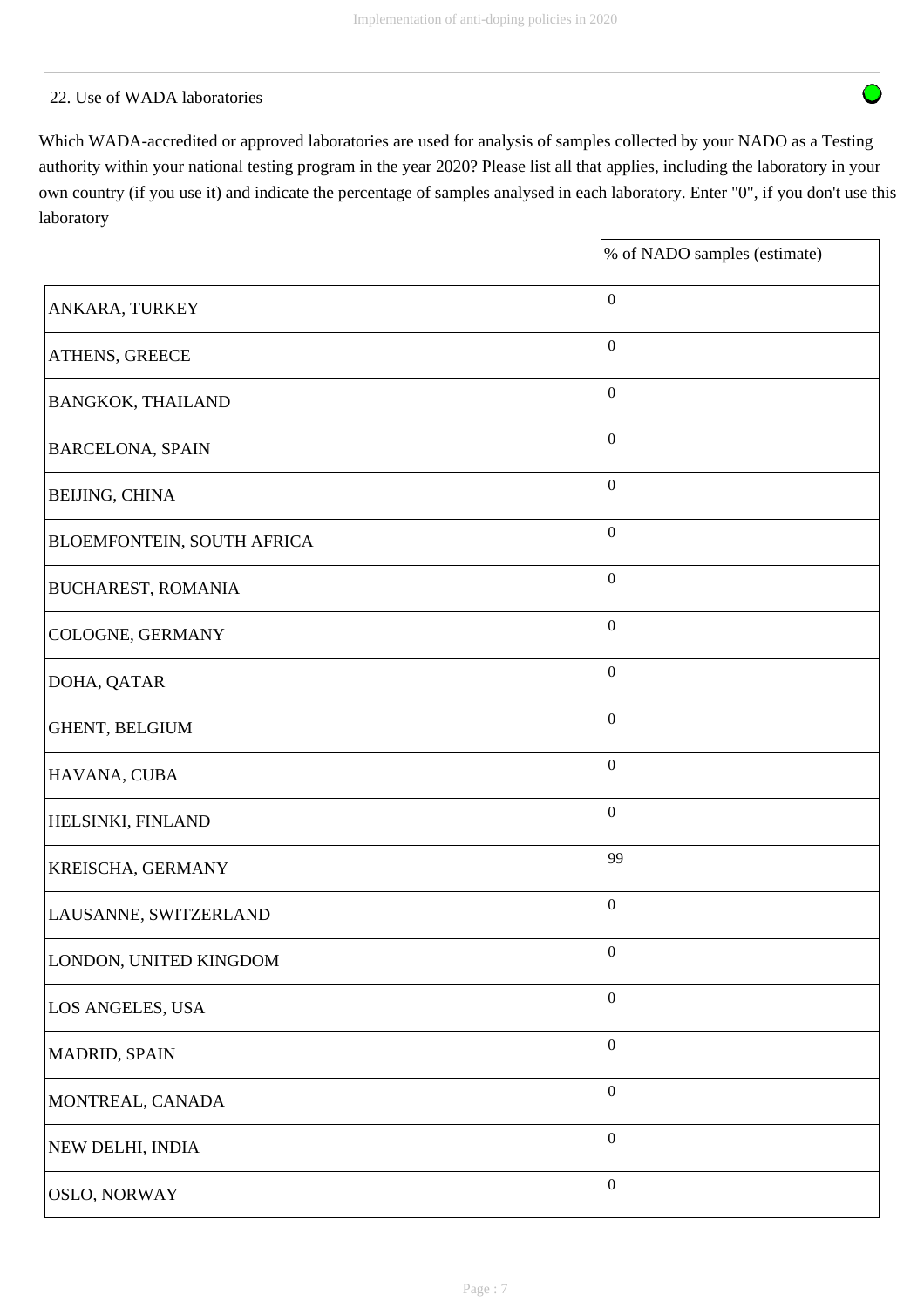# 22. Use of WADA laboratories

Which WADA-accredited or approved laboratories are used for analysis of samples collected by your NADO as a Testing authority within your national testing program in the year 2020? Please list all that applies, including the laboratory in your own country (if you use it) and indicate the percentage of samples analysed in each laboratory. Enter "0", if you don't use this laboratory

|                            | % of NADO samples (estimate) |
|----------------------------|------------------------------|
| ANKARA, TURKEY             | $\boldsymbol{0}$             |
| ATHENS, GREECE             | $\boldsymbol{0}$             |
| <b>BANGKOK, THAILAND</b>   | $\boldsymbol{0}$             |
| <b>BARCELONA, SPAIN</b>    | $\boldsymbol{0}$             |
| <b>BEIJING, CHINA</b>      | $\boldsymbol{0}$             |
| BLOEMFONTEIN, SOUTH AFRICA | $\boldsymbol{0}$             |
| <b>BUCHAREST, ROMANIA</b>  | $\boldsymbol{0}$             |
| COLOGNE, GERMANY           | $\boldsymbol{0}$             |
| DOHA, QATAR                | $\boldsymbol{0}$             |
| GHENT, BELGIUM             | $\boldsymbol{0}$             |
| HAVANA, CUBA               | $\boldsymbol{0}$             |
| HELSINKI, FINLAND          | $\boldsymbol{0}$             |
| KREISCHA, GERMANY          | 99                           |
| LAUSANNE, SWITZERLAND      | $\boldsymbol{0}$             |
| LONDON, UNITED KINGDOM     | $\boldsymbol{0}$             |
| LOS ANGELES, USA           | $\boldsymbol{0}$             |
| MADRID, SPAIN              | $\boldsymbol{0}$             |
| MONTREAL, CANADA           | $\boldsymbol{0}$             |
| NEW DELHI, INDIA           | $\boldsymbol{0}$             |
| <b>OSLO, NORWAY</b>        | $\boldsymbol{0}$             |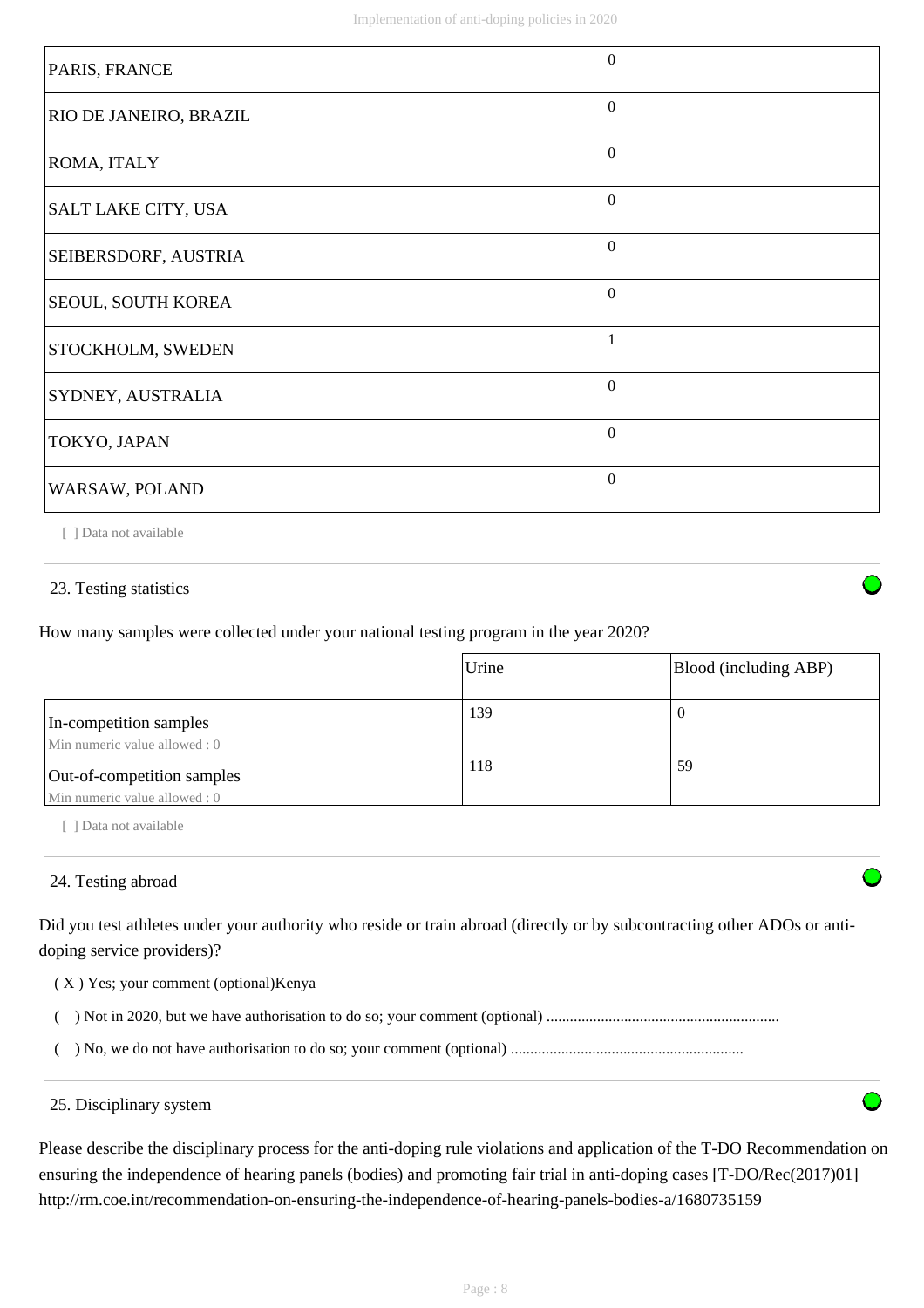| PARIS, FRANCE                 | $\Omega$ |
|-------------------------------|----------|
| <b>RIO DE JANEIRO, BRAZIL</b> | $\Omega$ |
| ROMA, ITALY                   | $\theta$ |
| SALT LAKE CITY, USA           | $\Omega$ |
| <b>SEIBERSDORF, AUSTRIA</b>   | $\theta$ |
| <b>SEOUL, SOUTH KOREA</b>     | $\theta$ |
| <b>STOCKHOLM, SWEDEN</b>      | 1        |
| SYDNEY, AUSTRALIA             | $\Omega$ |
| TOKYO, JAPAN                  | $\Omega$ |
| WARSAW, POLAND                | $\theta$ |

[ ] Data not available

# 23. Testing statistics

How many samples were collected under your national testing program in the year 2020?

|                                                             | Urine | Blood (including ABP) |
|-------------------------------------------------------------|-------|-----------------------|
| In-competition samples<br>Min numeric value allowed : 0     | 139   | v                     |
| Out-of-competition samples<br>Min numeric value allowed : 0 | 118   | 59                    |

[ ] Data not available

### 24. Testing abroad

Did you test athletes under your authority who reside or train abroad (directly or by subcontracting other ADOs or antidoping service providers)?

- ( X ) Yes; your comment (optional)Kenya
- ( ) Not in 2020, but we have authorisation to do so; your comment (optional) ............................................................
- ( ) No, we do not have authorisation to do so; your comment (optional) ............................................................

#### 25. Disciplinary system

Please describe the disciplinary process for the anti-doping rule violations and application of the T-DO Recommendation on ensuring the independence of hearing panels (bodies) and promoting fair trial in anti-doping cases [T-DO/Rec(2017)01] http://rm.coe.int/recommendation-on-ensuring-the-independence-of-hearing-panels-bodies-a/1680735159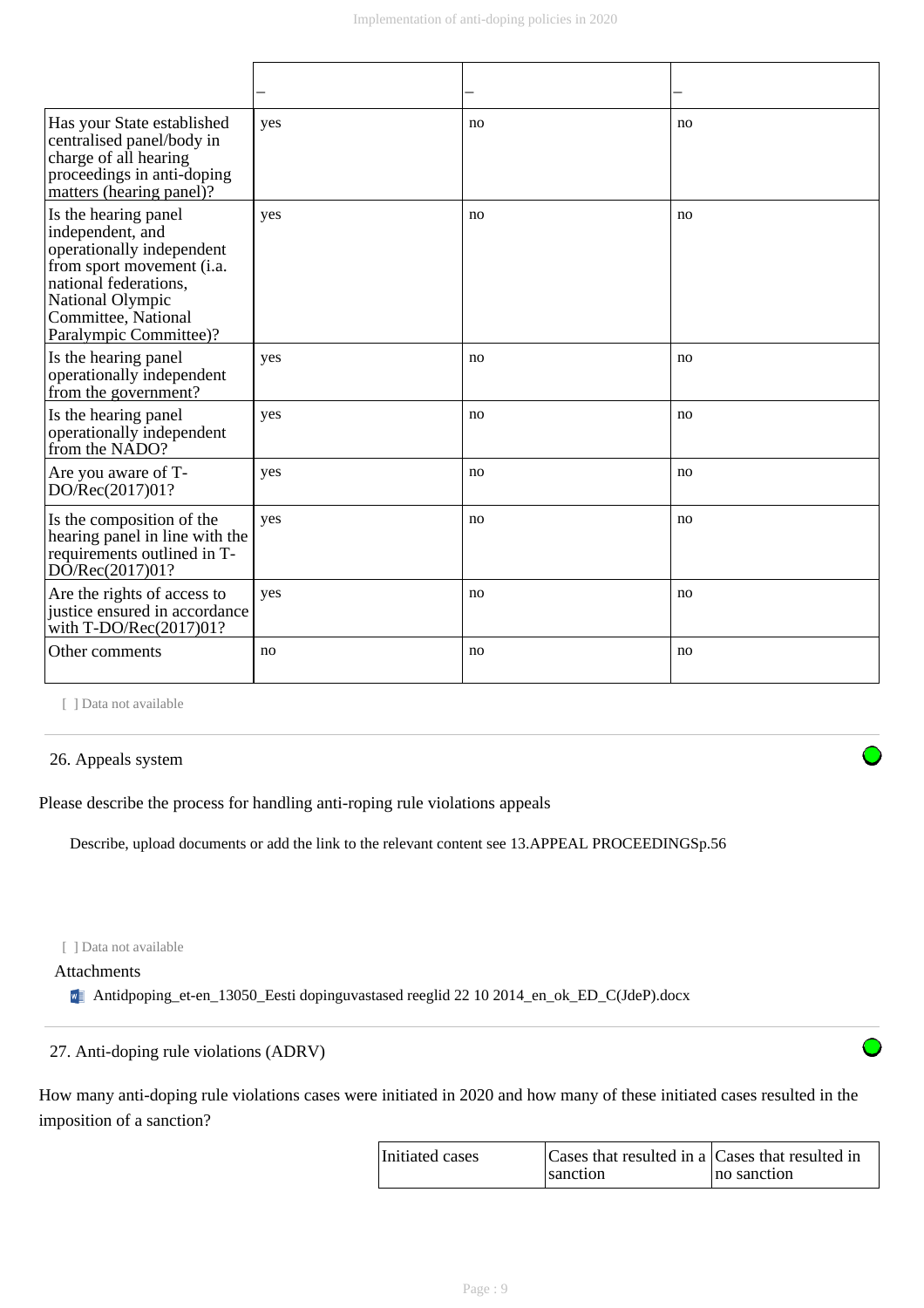| Has your State established<br>centralised panel/body in<br>charge of all hearing<br>proceedings in anti-doping<br>matters (hearing panel)?                                                       | yes | no | no |
|--------------------------------------------------------------------------------------------------------------------------------------------------------------------------------------------------|-----|----|----|
| Is the hearing panel<br>independent, and<br>operationally independent<br>from sport movement (i.a.<br>national federations.<br>National Olympic<br>Committee, National<br>Paralympic Committee)? | yes | no | no |
| Is the hearing panel<br>operationally independent<br>from the government?                                                                                                                        | yes | no | no |
| Is the hearing panel<br>operationally independent<br>from the NADO?                                                                                                                              | yes | no | no |
| Are you aware of T-<br>DO/Rec(2017)01?                                                                                                                                                           | yes | no | no |
| Is the composition of the<br>hearing panel in line with the<br>requirements outlined in T-<br>DO/Rec(2017)01?                                                                                    | yes | no | no |
| Are the rights of access to<br>justice ensured in accordance<br>with $T\text{-DO/Rec}(2017)01?$                                                                                                  | yes | no | no |
| Other comments                                                                                                                                                                                   | no  | no | no |

[ ] Data not available

### 26. Appeals system

Please describe the process for handling anti-roping rule violations appeals

Describe, upload documents or add the link to the relevant content see 13.APPEAL PROCEEDINGSp.56

[ ] Data not available

### Attachments

Antidpoping\_et-en\_13050\_Eesti dopinguvastased reeglid 22 10 2014\_en\_ok\_ED\_C(JdeP).docx

### 27. Anti-doping rule violations (ADRV)

How many anti-doping rule violations cases were initiated in 2020 and how many of these initiated cases resulted in the imposition of a sanction?

| Initiated cases | Cases that resulted in a Cases that resulted in |             |
|-----------------|-------------------------------------------------|-------------|
|                 | sanction                                        | no sanction |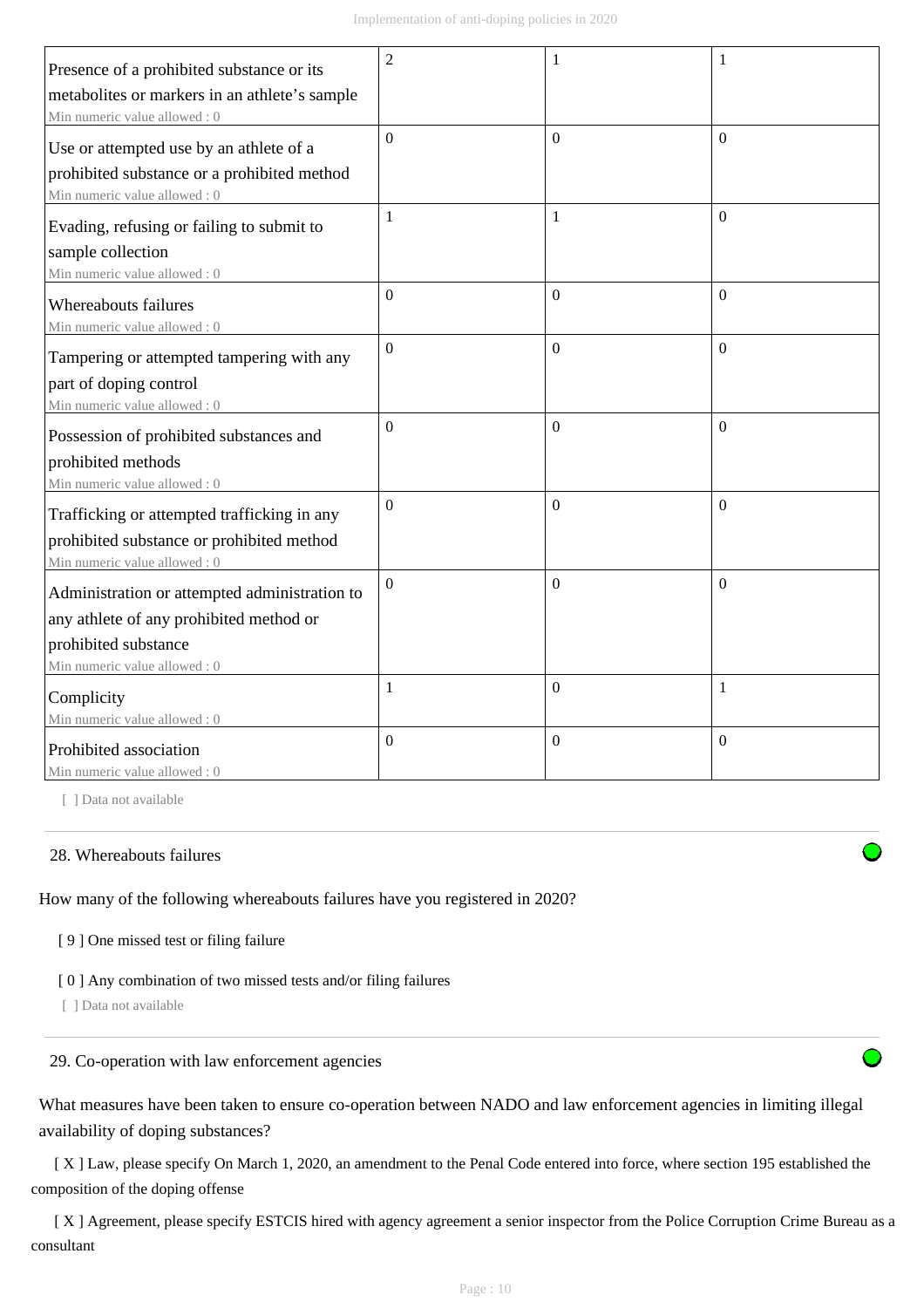| Presence of a prohibited substance or its     | $\overline{2}$   |                  | 1              |
|-----------------------------------------------|------------------|------------------|----------------|
| metabolites or markers in an athlete's sample |                  |                  |                |
| Min numeric value allowed: 0                  |                  |                  |                |
| Use or attempted use by an athlete of a       | $\overline{0}$   | $\Omega$         | $\Omega$       |
| prohibited substance or a prohibited method   |                  |                  |                |
| Min numeric value allowed: 0                  |                  |                  |                |
| Evading, refusing or failing to submit to     | 1                | 1                | $\Omega$       |
| sample collection                             |                  |                  |                |
| Min numeric value allowed: 0                  |                  |                  |                |
| Whereabouts failures                          | $\overline{0}$   | $\Omega$         | $\Omega$       |
| Min numeric value allowed : 0                 |                  |                  |                |
| Tampering or attempted tampering with any     | $\overline{0}$   | $\mathbf{0}$     | $\theta$       |
| part of doping control                        |                  |                  |                |
| Min numeric value allowed: 0                  |                  |                  |                |
| Possession of prohibited substances and       | $\Omega$         | $\boldsymbol{0}$ | $\theta$       |
| prohibited methods                            |                  |                  |                |
| Min numeric value allowed: 0                  |                  |                  |                |
| Trafficking or attempted trafficking in any   | $\overline{0}$   | $\overline{0}$   | $\Omega$       |
| prohibited substance or prohibited method     |                  |                  |                |
| Min numeric value allowed: 0                  |                  |                  |                |
| Administration or attempted administration to | $\overline{0}$   | $\Omega$         | $\Omega$       |
| any athlete of any prohibited method or       |                  |                  |                |
| prohibited substance                          |                  |                  |                |
| Min numeric value allowed: 0                  |                  |                  |                |
| Complicity                                    | 1                | $\boldsymbol{0}$ | $\mathbf{1}$   |
| Min numeric value allowed: 0                  |                  |                  |                |
| Prohibited association                        | $\boldsymbol{0}$ | $\boldsymbol{0}$ | $\overline{0}$ |
| Min numeric value allowed: 0                  |                  |                  |                |

[ ] Data not available

#### 28. Whereabouts failures

How many of the following whereabouts failures have you registered in 2020?

[ 9 ] One missed test or filing failure

[ 0 ] Any combination of two missed tests and/or filing failures

[ ] Data not available

## 29. Co-operation with law enforcement agencies

What measures have been taken to ensure co-operation between NADO and law enforcement agencies in limiting illegal availability of doping substances?

 [ X ] Law, please specify On March 1, 2020, an amendment to the Penal Code entered into force, where section 195 established the composition of the doping offense

[X] Agreement, please specify ESTCIS hired with agency agreement a senior inspector from the Police Corruption Crime Bureau as a consultant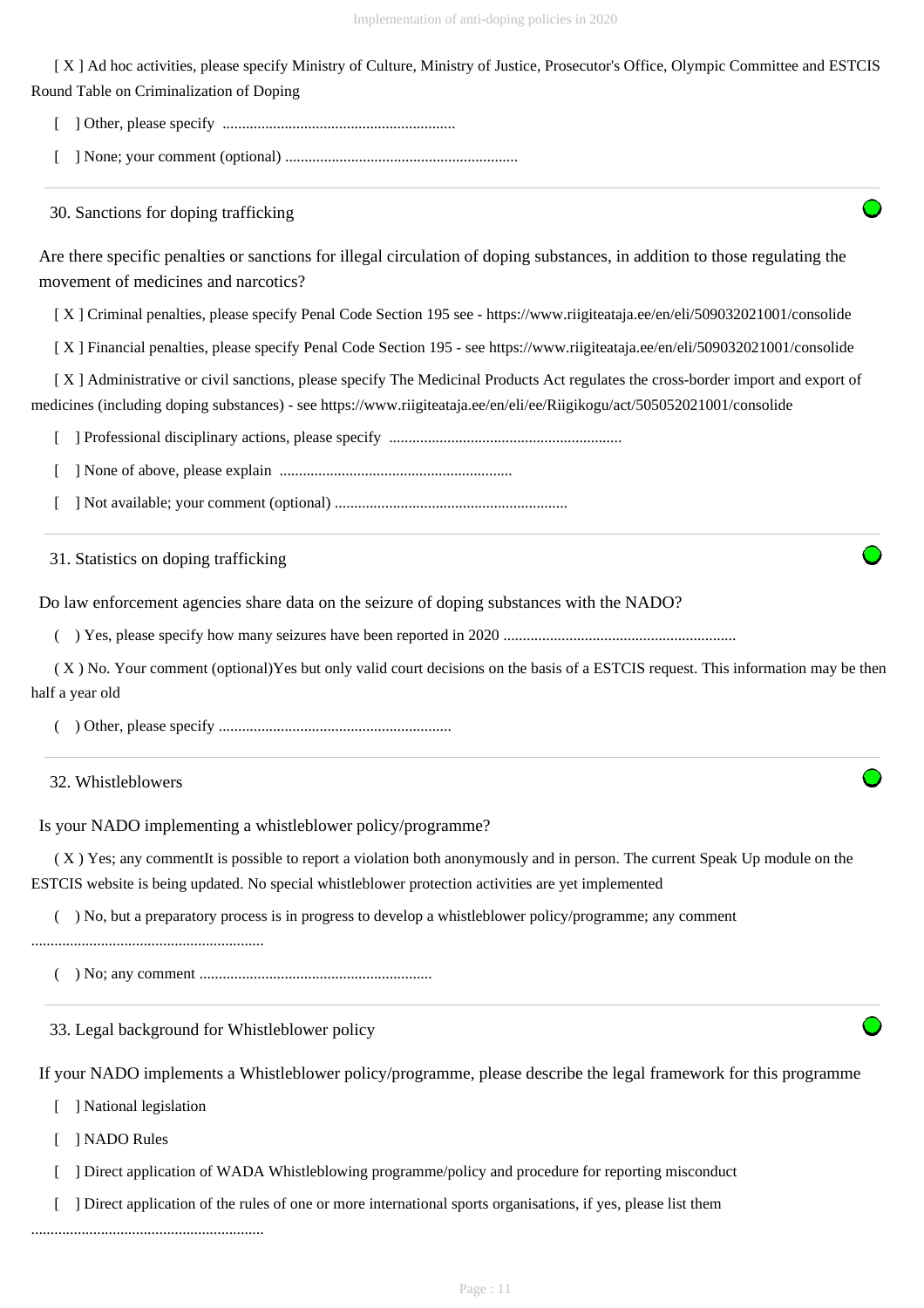[ X ] Ad hoc activities, please specify Ministry of Culture, Ministry of Justice, Prosecutor's Office, Olympic Committee and ESTCIS Round Table on Criminalization of Doping

[ ] Other, please specify ............................................................

[ ] None; your comment (optional) ............................................................

30. Sanctions for doping trafficking

Are there specific penalties or sanctions for illegal circulation of doping substances, in addition to those regulating the movement of medicines and narcotics?

[ X ] Criminal penalties, please specify Penal Code Section 195 see - https://www.riigiteataja.ee/en/eli/509032021001/consolide

[ X ] Financial penalties, please specify Penal Code Section 195 - see https://www.riigiteataja.ee/en/eli/509032021001/consolide

 [ X ] Administrative or civil sanctions, please specify The Medicinal Products Act regulates the cross-border import and export of medicines (including doping substances) - see https://www.riigiteataja.ee/en/eli/ee/Riigikogu/act/505052021001/consolide

[ ] Professional disciplinary actions, please specify ............................................................

[ ] None of above, please explain ............................................................

[ ] Not available; your comment (optional) ............................................................

31. Statistics on doping trafficking

Do law enforcement agencies share data on the seizure of doping substances with the NADO?

( ) Yes, please specify how many seizures have been reported in 2020 ............................................................

 ( X ) No. Your comment (optional)Yes but only valid court decisions on the basis of a ESTCIS request. This information may be then half a year old

( ) Other, please specify ............................................................

32. Whistleblowers

Is your NADO implementing a whistleblower policy/programme?

 ( X ) Yes; any commentIt is possible to report a violation both anonymously and in person. The current Speak Up module on the ESTCIS website is being updated. No special whistleblower protection activities are yet implemented

( ) No, but a preparatory process is in progress to develop a whistleblower policy/programme; any comment

............................................................

( ) No; any comment ............................................................

33. Legal background for Whistleblower policy

If your NADO implements a Whistleblower policy/programme, please describe the legal framework for this programme

[ ] National legislation

[ ] NADO Rules

[ ] Direct application of WADA Whistleblowing programme/policy and procedure for reporting misconduct

[ ] Direct application of the rules of one or more international sports organisations, if yes, please list them

............................................................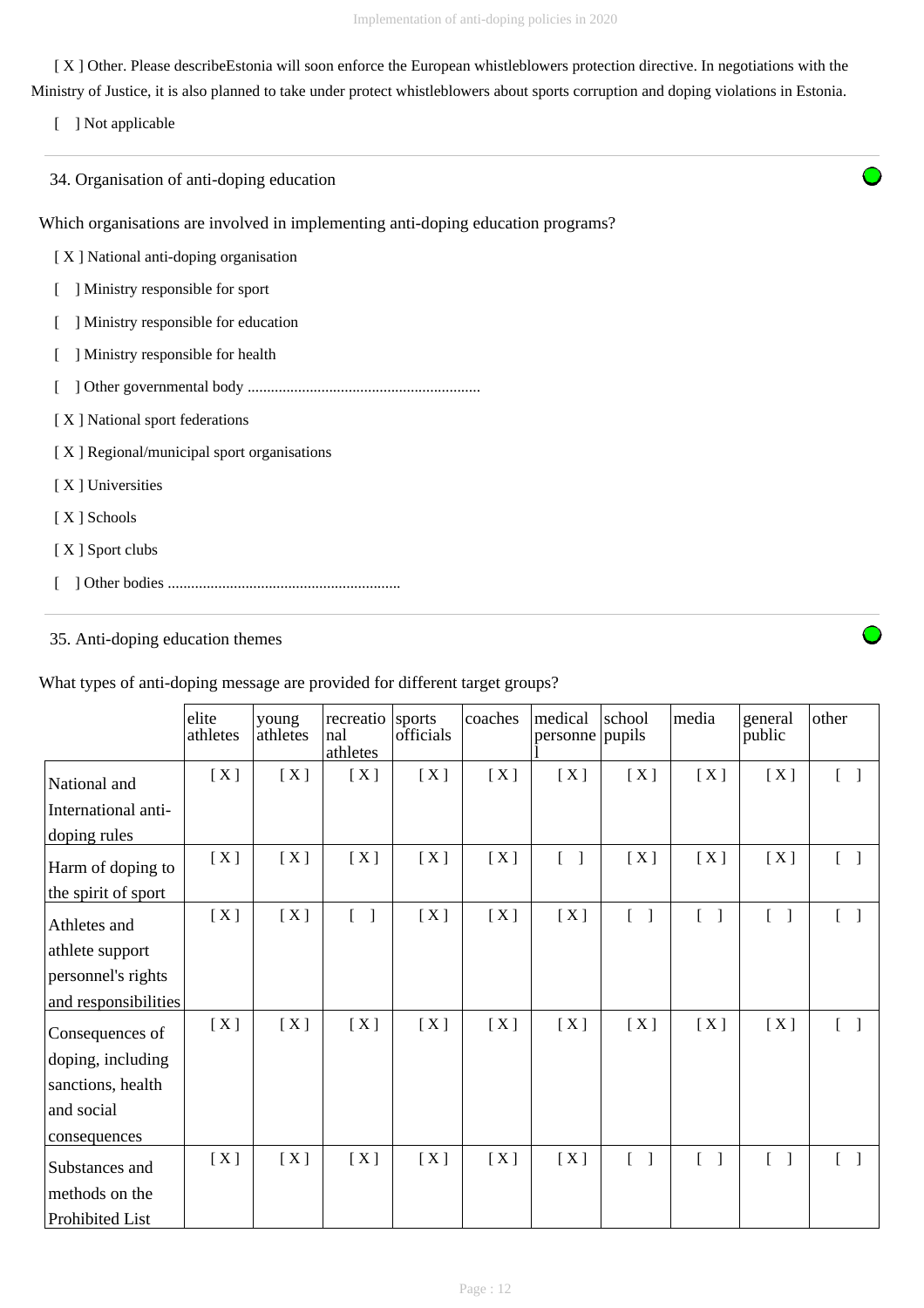[ X ] Other. Please describeEstonia will soon enforce the European whistleblowers protection directive. In negotiations with the Ministry of Justice, it is also planned to take under protect whistleblowers about sports corruption and doping violations in Estonia.

[ ] Not applicable

34. Organisation of anti-doping education

Which organisations are involved in implementing anti-doping education programs?

- [ X ] National anti-doping organisation
- [ ] Ministry responsible for sport
- [ ] Ministry responsible for education
- [ ] Ministry responsible for health
- [ ] Other governmental body ............................................................
- [ X ] National sport federations

[ X ] Regional/municipal sport organisations

- [ X ] Universities
- [ X ] Schools
- [ X ] Sport clubs
- [ ] Other bodies ............................................................

## 35. Anti-doping education themes

What types of anti-doping message are provided for different target groups?

|                      | elite<br>athletes | young<br>athletes | recreatio<br>nal<br>athletes             | sports<br>officials | coaches | medical<br>personne pupils        | school                                 | media                             | general<br>public                 | other                             |
|----------------------|-------------------|-------------------|------------------------------------------|---------------------|---------|-----------------------------------|----------------------------------------|-----------------------------------|-----------------------------------|-----------------------------------|
| National and         | [X]               | [X]               | [X]                                      | [X]                 | [X]     | [X]                               | [X]                                    | [X]                               | [X]                               | $[\ ]$                            |
| International anti-  |                   |                   |                                          |                     |         |                                   |                                        |                                   |                                   |                                   |
| doping rules         |                   |                   |                                          |                     |         |                                   |                                        |                                   |                                   |                                   |
| Harm of doping to    | [X]               | [X]               | [X]                                      | [X]                 | [X]     | $\begin{bmatrix} 1 \end{bmatrix}$ | [X]                                    | [X]                               | [X]                               | $[\ ]$                            |
| the spirit of sport  |                   |                   |                                          |                     |         |                                   |                                        |                                   |                                   |                                   |
| Athletes and         | [X]               | [X]               | $\mathsf{L}$<br>$\overline{\phantom{a}}$ | [X]                 | [X]     | [X]                               | $\sqrt{ }$<br>$\overline{\phantom{a}}$ | $\mathsf{L}$<br>- 1               | $\begin{bmatrix} 1 \end{bmatrix}$ | $\begin{bmatrix} 1 \end{bmatrix}$ |
| athlete support      |                   |                   |                                          |                     |         |                                   |                                        |                                   |                                   |                                   |
| personnel's rights   |                   |                   |                                          |                     |         |                                   |                                        |                                   |                                   |                                   |
| and responsibilities |                   |                   |                                          |                     |         |                                   |                                        |                                   |                                   |                                   |
| Consequences of      | [X]               | [X]               | [X]                                      | [X]                 | [X]     | [X]                               | [X]                                    | [X]                               | [X]                               | $[\ ]$                            |
| doping, including    |                   |                   |                                          |                     |         |                                   |                                        |                                   |                                   |                                   |
| sanctions, health    |                   |                   |                                          |                     |         |                                   |                                        |                                   |                                   |                                   |
| and social           |                   |                   |                                          |                     |         |                                   |                                        |                                   |                                   |                                   |
| consequences         |                   |                   |                                          |                     |         |                                   |                                        |                                   |                                   |                                   |
| Substances and       | [X]               | [X]               | [X]                                      | [X]                 | [X]     | [X]                               | $\begin{bmatrix} 1 \end{bmatrix}$      | $\begin{bmatrix} 1 \end{bmatrix}$ | $\begin{bmatrix} 1 \end{bmatrix}$ | $\lceil$ 1                        |
| methods on the       |                   |                   |                                          |                     |         |                                   |                                        |                                   |                                   |                                   |
| Prohibited List      |                   |                   |                                          |                     |         |                                   |                                        |                                   |                                   |                                   |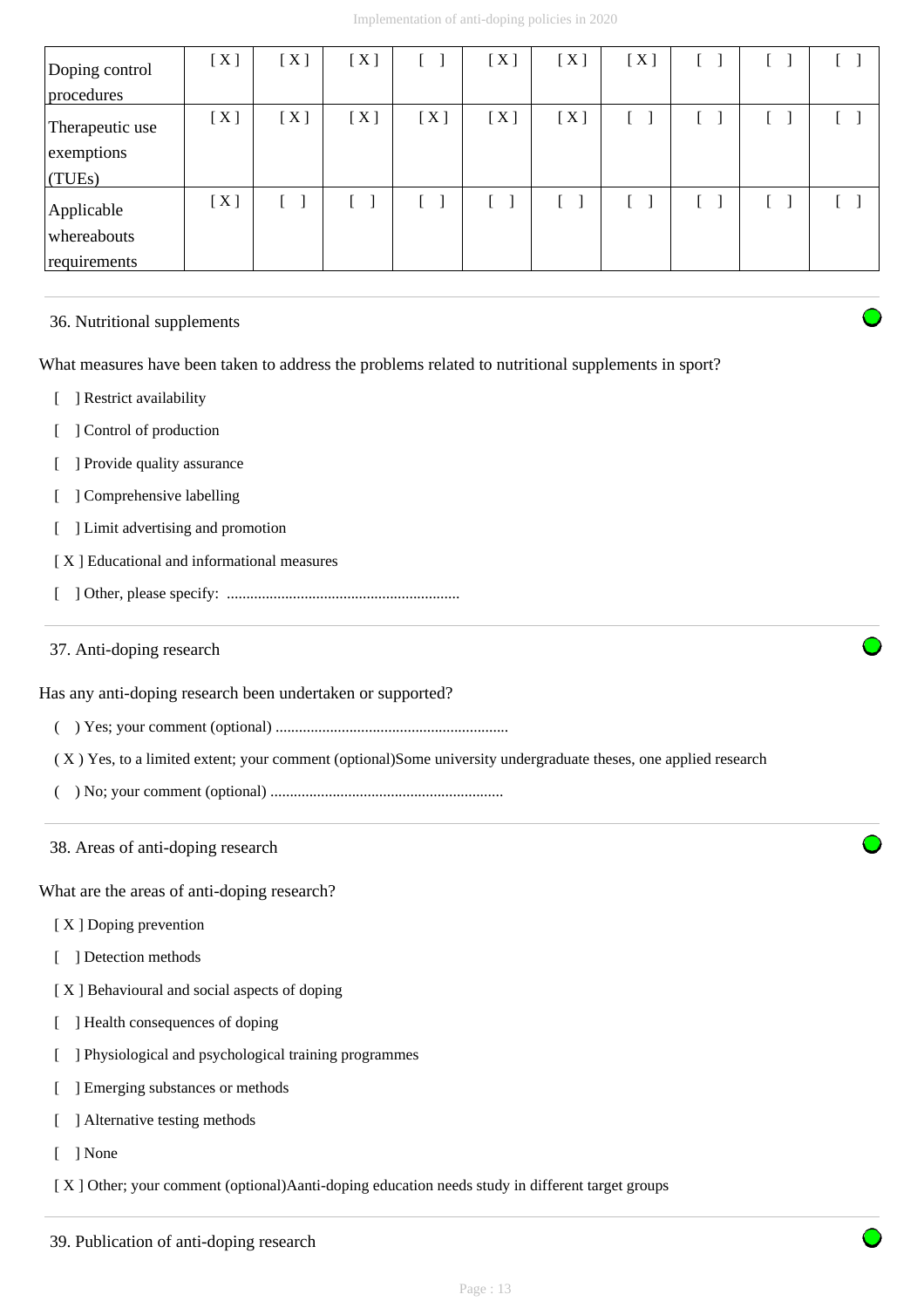| Doping control<br>procedures              | [X] | [X] | [X] |     | [X] | [X] | [X] |    |  |
|-------------------------------------------|-----|-----|-----|-----|-----|-----|-----|----|--|
| Therapeutic use<br>exemptions<br>(TUES)   | [X] | [X] | [X] | [X] | [X] | [X] |     |    |  |
| Applicable<br>whereabouts<br>requirements | [X] |     |     |     |     |     |     | f. |  |

### 36. Nutritional supplements

What measures have been taken to address the problems related to nutritional supplements in sport?

- [ ] Restrict availability
- [ ] Control of production
- [ ] Provide quality assurance
- [ ] Comprehensive labelling
- [ ] Limit advertising and promotion
- [ X ] Educational and informational measures
- [ ] Other, please specify: ............................................................

### 37. Anti-doping research

Has any anti-doping research been undertaken or supported?

( ) Yes; your comment (optional) ............................................................

( X ) Yes, to a limited extent; your comment (optional)Some university undergraduate theses, one applied research

- ( ) No; your comment (optional) ............................................................
- 38. Areas of anti-doping research

What are the areas of anti-doping research?

- [X ] Doping prevention
- [ ] Detection methods
- [ X ] Behavioural and social aspects of doping
- [ ] Health consequences of doping
- [ ] Physiological and psychological training programmes
- [ ] Emerging substances or methods
- [ ] Alternative testing methods
- [ ] None

[ X ] Other; your comment (optional)Aanti-doping education needs study in different target groups